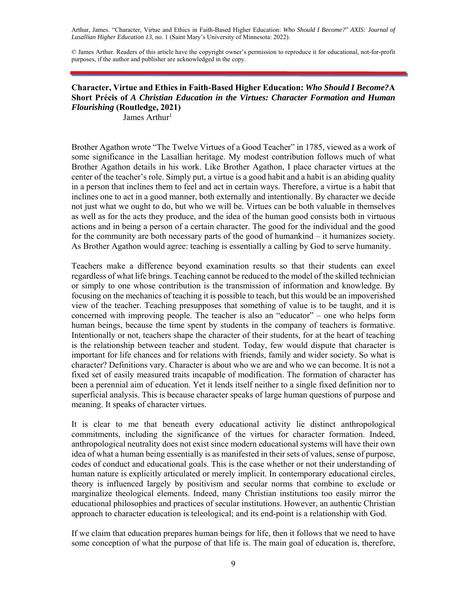Arthur, James. "Character, Virtue and Ethics in Faith-Based Higher Education: *Who Should I Become?*" *AXIS: Journal of Lasallian Higher Education 13*, no. 1 (Saint Mary's University of Minnesota: 2022).

© James Arthur. Readers of this article have the copyright owner's permission to reproduce it for educational, not-for-profit purposes, if the author and publisher are acknowledged in the copy.

## **Character, Virtue and Ethics in Faith-Based Higher Education:** *Who Should I Become?***A Short Précis of** *A Christian Education in the Virtues: Character Formation and Human Flourishing* **(Routledge, 2021)**

James Arthur<sup>1</sup>

Brother Agathon wrote "The Twelve Virtues of a Good Teacher" in 1785, viewed as a work of some significance in the Lasallian heritage. My modest contribution follows much of what Brother Agathon details in his work. Like Brother Agathon, I place character virtues at the center of the teacher's role. Simply put, a virtue is a good habit and a habit is an abiding quality in a person that inclines them to feel and act in certain ways. Therefore, a virtue is a habit that inclines one to act in a good manner, both externally and intentionally. By character we decide not just what we ought to do, but who we will be. Virtues can be both valuable in themselves as well as for the acts they produce, and the idea of the human good consists both in virtuous actions and in being a person of a certain character. The good for the individual and the good for the community are both necessary parts of the good of humankind  $-$  it humanizes society. As Brother Agathon would agree: teaching is essentially a calling by God to serve humanity.

Teachers make a difference beyond examination results so that their students can excel regardless of what life brings. Teaching cannot be reduced to the model of the skilled technician or simply to one whose contribution is the transmission of information and knowledge. By focusing on the mechanics of teaching it is possible to teach, but this would be an impoverished view of the teacher. Teaching presupposes that something of value is to be taught, and it is concerned with improving people. The teacher is also an "educator" – one who helps form human beings, because the time spent by students in the company of teachers is formative. Intentionally or not, teachers shape the character of their students, for at the heart of teaching is the relationship between teacher and student. Today, few would dispute that character is important for life chances and for relations with friends, family and wider society. So what is character? Definitions vary. Character is about who we are and who we can become. It is not a fixed set of easily measured traits incapable of modification. The formation of character has been a perennial aim of education. Yet it lends itself neither to a single fixed definition nor to superficial analysis. This is because character speaks of large human questions of purpose and meaning. It speaks of character virtues.

It is clear to me that beneath every educational activity lie distinct anthropological commitments, including the significance of the virtues for character formation. Indeed, anthropological neutrality does not exist since modern educational systems will have their own idea of what a human being essentially is as manifested in their sets of values, sense of purpose, codes of conduct and educational goals. This is the case whether or not their understanding of human nature is explicitly articulated or merely implicit. In contemporary educational circles, theory is influenced largely by positivism and secular norms that combine to exclude or marginalize theological elements. Indeed, many Christian institutions too easily mirror the educational philosophies and practices of secular institutions. However, an authentic Christian approach to character education is teleological; and its end-point is a relationship with God.

If we claim that education prepares human beings for life, then it follows that we need to have some conception of what the purpose of that life is. The main goal of education is, therefore,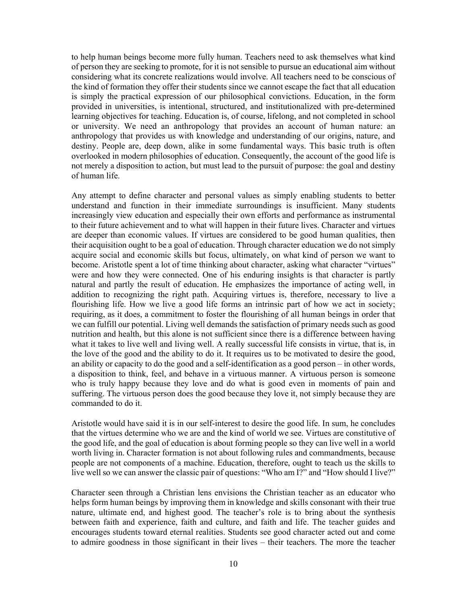to help human beings become more fully human. Teachers need to ask themselves what kind of person they are seeking to promote, for it is not sensible to pursue an educational aim without considering what its concrete realizations would involve. All teachers need to be conscious of the kind of formation they offer their students since we cannot escape the fact that all education is simply the practical expression of our philosophical convictions. Education, in the form provided in universities, is intentional, structured, and institutionalized with pre-determined learning objectives for teaching. Education is, of course, lifelong, and not completed in school or university. We need an anthropology that provides an account of human nature: an anthropology that provides us with knowledge and understanding of our origins, nature, and destiny. People are, deep down, alike in some fundamental ways. This basic truth is often overlooked in modern philosophies of education. Consequently, the account of the good life is not merely a disposition to action, but must lead to the pursuit of purpose: the goal and destiny of human life.

Any attempt to define character and personal values as simply enabling students to better understand and function in their immediate surroundings is insufficient. Many students increasingly view education and especially their own efforts and performance as instrumental to their future achievement and to what will happen in their future lives. Character and virtues are deeper than economic values. If virtues are considered to be good human qualities, then their acquisition ought to be a goal of education. Through character education we do not simply acquire social and economic skills but focus, ultimately, on what kind of person we want to become. Aristotle spent a lot of time thinking about character, asking what character "virtues" were and how they were connected. One of his enduring insights is that character is partly natural and partly the result of education. He emphasizes the importance of acting well, in addition to recognizing the right path. Acquiring virtues is, therefore, necessary to live a flourishing life. How we live a good life forms an intrinsic part of how we act in society; requiring, as it does, a commitment to foster the flourishing of all human beings in order that we can fulfill our potential. Living well demands the satisfaction of primary needs such as good nutrition and health, but this alone is not sufficient since there is a difference between having what it takes to live well and living well. A really successful life consists in virtue, that is, in the love of the good and the ability to do it. It requires us to be motivated to desire the good, an ability or capacity to do the good and a self-identification as a good person – in other words, a disposition to think, feel, and behave in a virtuous manner. A virtuous person is someone who is truly happy because they love and do what is good even in moments of pain and suffering. The virtuous person does the good because they love it, not simply because they are commanded to do it.

Aristotle would have said it is in our self-interest to desire the good life. In sum, he concludes that the virtues determine who we are and the kind of world we see. Virtues are constitutive of the good life, and the goal of education is about forming people so they can live well in a world worth living in. Character formation is not about following rules and commandments, because people are not components of a machine. Education, therefore, ought to teach us the skills to live well so we can answer the classic pair of questions: "Who am I?" and "How should I live?"

Character seen through a Christian lens envisions the Christian teacher as an educator who helps form human beings by improving them in knowledge and skills consonant with their true nature, ultimate end, and highest good. The teacher's role is to bring about the synthesis between faith and experience, faith and culture, and faith and life. The teacher guides and encourages students toward eternal realities. Students see good character acted out and come to admire goodness in those significant in their lives – their teachers. The more the teacher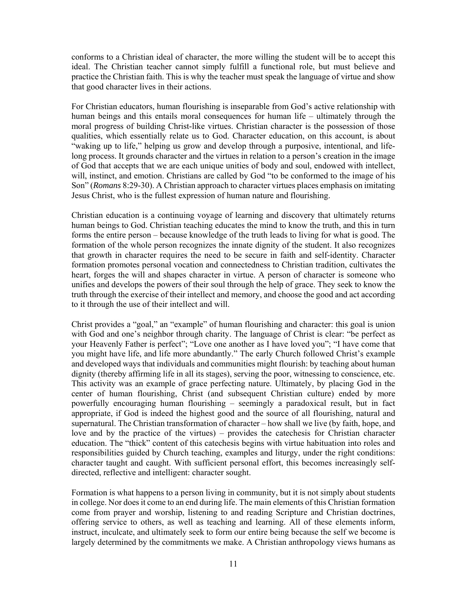conforms to a Christian ideal of character, the more willing the student will be to accept this ideal. The Christian teacher cannot simply fulfill a functional role, but must believe and practice the Christian faith. This is why the teacher must speak the language of virtue and show that good character lives in their actions.

For Christian educators, human flourishing is inseparable from God's active relationship with human beings and this entails moral consequences for human life – ultimately through the moral progress of building Christ-like virtues. Christian character is the possession of those qualities, which essentially relate us to God. Character education, on this account, is about "waking up to life," helping us grow and develop through a purposive, intentional, and lifelong process. It grounds character and the virtues in relation to a person's creation in the image of God that accepts that we are each unique unities of body and soul, endowed with intellect, will, instinct, and emotion. Christians are called by God "to be conformed to the image of his Son" (*Romans* 8:29-30). A Christian approach to character virtues places emphasis on imitating Jesus Christ, who is the fullest expression of human nature and flourishing.

Christian education is a continuing voyage of learning and discovery that ultimately returns human beings to God. Christian teaching educates the mind to know the truth, and this in turn forms the entire person – because knowledge of the truth leads to living for what is good. The formation of the whole person recognizes the innate dignity of the student. It also recognizes that growth in character requires the need to be secure in faith and self-identity. Character formation promotes personal vocation and connectedness to Christian tradition, cultivates the heart, forges the will and shapes character in virtue. A person of character is someone who unifies and develops the powers of their soul through the help of grace. They seek to know the truth through the exercise of their intellect and memory, and choose the good and act according to it through the use of their intellect and will.

Christ provides a "goal," an "example" of human flourishing and character: this goal is union with God and one's neighbor through charity. The language of Christ is clear: "be perfect as your Heavenly Father is perfect"; "Love one another as I have loved you"; "I have come that you might have life, and life more abundantly." The early Church followed Christ's example and developed ways that individuals and communities might flourish: by teaching about human dignity (thereby affirming life in all its stages), serving the poor, witnessing to conscience, etc. This activity was an example of grace perfecting nature. Ultimately, by placing God in the center of human flourishing, Christ (and subsequent Christian culture) ended by more powerfully encouraging human flourishing – seemingly a paradoxical result, but in fact appropriate, if God is indeed the highest good and the source of all flourishing, natural and supernatural. The Christian transformation of character – how shall we live (by faith, hope, and love and by the practice of the virtues) – provides the catechesis for Christian character education. The "thick" content of this catechesis begins with virtue habituation into roles and responsibilities guided by Church teaching, examples and liturgy, under the right conditions: character taught and caught. With sufficient personal effort, this becomes increasingly selfdirected, reflective and intelligent: character sought.

Formation is what happens to a person living in community, but it is not simply about students in college. Nor does it come to an end during life. The main elements of this Christian formation come from prayer and worship, listening to and reading Scripture and Christian doctrines, offering service to others, as well as teaching and learning. All of these elements inform, instruct, inculcate, and ultimately seek to form our entire being because the self we become is largely determined by the commitments we make. A Christian anthropology views humans as